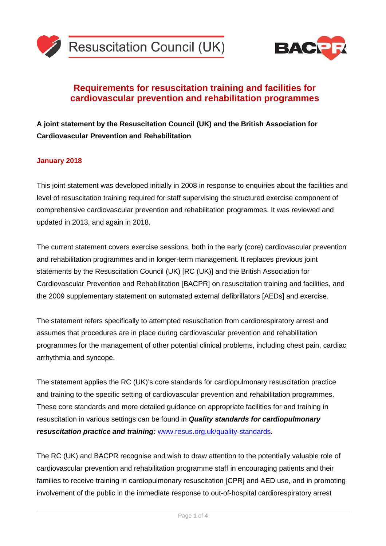



## **Requirements for resuscitation training and facilities for cardiovascular prevention and rehabilitation programmes**

**A joint statement by the Resuscitation Council (UK) and the British Association for Cardiovascular Prevention and Rehabilitation** 

## **January 2018**

This joint statement was developed initially in 2008 in response to enquiries about the facilities and level of resuscitation training required for staff supervising the structured exercise component of comprehensive cardiovascular prevention and rehabilitation programmes. It was reviewed and updated in 2013, and again in 2018.

The current statement covers exercise sessions, both in the early (core) cardiovascular prevention and rehabilitation programmes and in longer-term management. It replaces previous joint statements by the Resuscitation Council (UK) [RC (UK)] and the British Association for Cardiovascular Prevention and Rehabilitation [BACPR] on resuscitation training and facilities, and the 2009 supplementary statement on automated external defibrillators [AEDs] and exercise.

The statement refers specifically to attempted resuscitation from cardiorespiratory arrest and assumes that procedures are in place during cardiovascular prevention and rehabilitation programmes for the management of other potential clinical problems, including chest pain, cardiac arrhythmia and syncope.

The statement applies the RC (UK)'s core standards for cardiopulmonary resuscitation practice and training to the specific setting of cardiovascular prevention and rehabilitation programmes. These core standards and more detailed guidance on appropriate facilities for and training in resuscitation in various settings can be found in *Quality standards for cardiopulmonary resuscitation practice and training:* [www.resus.org.uk/quality-standards.](http://www.resus.org.uk/quality-standards)

The RC (UK) and BACPR recognise and wish to draw attention to the potentially valuable role of cardiovascular prevention and rehabilitation programme staff in encouraging patients and their families to receive training in cardiopulmonary resuscitation [CPR] and AED use, and in promoting involvement of the public in the immediate response to out-of-hospital cardiorespiratory arrest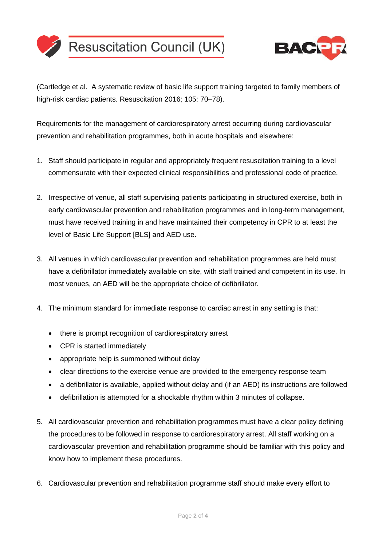



(Cartledge et al. A systematic review of basic life support training targeted to family members of high-risk cardiac patients. Resuscitation 2016; 105: 70–78).

Requirements for the management of cardiorespiratory arrest occurring during cardiovascular prevention and rehabilitation programmes, both in acute hospitals and elsewhere:

- 1. Staff should participate in regular and appropriately frequent resuscitation training to a level commensurate with their expected clinical responsibilities and professional code of practice.
- 2. Irrespective of venue, all staff supervising patients participating in structured exercise, both in early cardiovascular prevention and rehabilitation programmes and in long-term management, must have received training in and have maintained their competency in CPR to at least the level of Basic Life Support [BLS] and AED use.
- 3. All venues in which cardiovascular prevention and rehabilitation programmes are held must have a defibrillator immediately available on site, with staff trained and competent in its use. In most venues, an AED will be the appropriate choice of defibrillator.
- 4. The minimum standard for immediate response to cardiac arrest in any setting is that:
	- there is prompt recognition of cardiorespiratory arrest
	- CPR is started immediately
	- appropriate help is summoned without delay
	- clear directions to the exercise venue are provided to the emergency response team
	- a defibrillator is available, applied without delay and (if an AED) its instructions are followed
	- defibrillation is attempted for a shockable rhythm within 3 minutes of collapse.
- 5. All cardiovascular prevention and rehabilitation programmes must have a clear policy defining the procedures to be followed in response to cardiorespiratory arrest. All staff working on a cardiovascular prevention and rehabilitation programme should be familiar with this policy and know how to implement these procedures.
- 6. Cardiovascular prevention and rehabilitation programme staff should make every effort to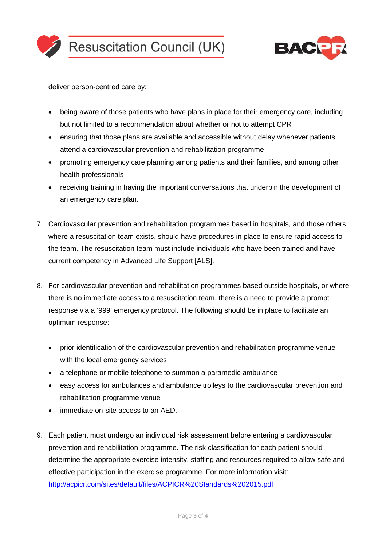



deliver person-centred care by:

- being aware of those patients who have plans in place for their emergency care, including but not limited to a recommendation about whether or not to attempt CPR
- ensuring that those plans are available and accessible without delay whenever patients attend a cardiovascular prevention and rehabilitation programme
- promoting emergency care planning among patients and their families, and among other health professionals
- receiving training in having the important conversations that underpin the development of an emergency care plan.
- 7. Cardiovascular prevention and rehabilitation programmes based in hospitals, and those others where a resuscitation team exists, should have procedures in place to ensure rapid access to the team. The resuscitation team must include individuals who have been trained and have current competency in Advanced Life Support [ALS].
- 8. For cardiovascular prevention and rehabilitation programmes based outside hospitals, or where there is no immediate access to a resuscitation team, there is a need to provide a prompt response via a '999' emergency protocol. The following should be in place to facilitate an optimum response:
	- prior identification of the cardiovascular prevention and rehabilitation programme venue with the local emergency services
	- a telephone or mobile telephone to summon a paramedic ambulance
	- easy access for ambulances and ambulance trolleys to the cardiovascular prevention and rehabilitation programme venue
	- immediate on-site access to an AED.
- 9. Each patient must undergo an individual risk assessment before entering a cardiovascular prevention and rehabilitation programme. The risk classification for each patient should determine the appropriate exercise intensity, staffing and resources required to allow safe and effective participation in the exercise programme. For more information visit: <http://acpicr.com/sites/default/files/ACPICR%20Standards%202015.pdf>